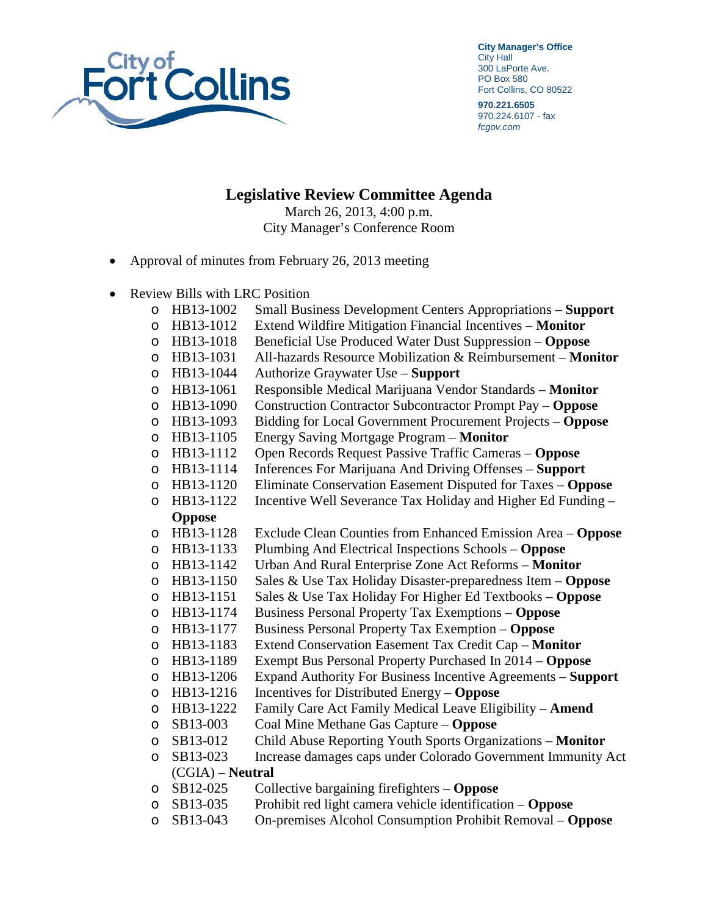

**City Manager's Office** City Hall 300 LaPorte Ave. PO Box 580 Fort Collins, CO 80522

**970.221.6505** 970.224.6107 - fax *fcgov.com*

## **Legislative Review Committee Agenda**

March 26, 2013, 4:00 p.m. City Manager's Conference Room

- Approval of minutes from February 26, 2013 meeting
- Review Bills with LRC Position
	- o HB13-1002 Small Business Development Centers Appropriations **Support**
	- o HB13-1012 Extend Wildfire Mitigation Financial Incentives **Monitor**
	-
	- o HB13-1018 Beneficial Use Produced Water Dust Suppression **Oppose**  HB13-1031 All-hazards Resource Mobilization & Reimbursement – **Monitor**<br>HB13-1044 Authorize Graywater Use – **Support**
	-
	- o HB13-1044 Authorize Graywater Use **Support**  o HB13-1061 Responsible Medical Marijuana Vendor Standards – **Monitor**
	- o HB13-1090 Construction Contractor Subcontractor Prompt Pay **Oppose**
	- o HB13-1093 Bidding for Local Government Procurement Projects **Oppose**
	- o HB13-1105 Energy Saving Mortgage Program **Monitor**
	- o HB13-1112 Open Records Request Passive Traffic Cameras **Oppose**
	- HB13-1114 Inferences For Marijuana And Driving Offenses **Support**<br>HB13-1120 Eliminate Conservation Easement Disputed for Taxes **Op**
	- o HB13-1120 Eliminate Conservation Easement Disputed for Taxes **Oppose**
	- $\circ$  HB13-1122 Incentive Well Severance Tax Holiday and Higher Ed Funding **Oppose**
	- o HB13-1128 Exclude Clean Counties from Enhanced Emission Area **Oppose**
	- o HB13-1133 Plumbing And Electrical Inspections Schools **Oppose**
	- HB13-1142 Urban And Rural Enterprise Zone Act Reforms **Monitor**<br>HB13-1150 Sales & Use Tax Holiday Disaster-preparedness Item **Op**
	- o HB13-1150 Sales & Use Tax Holiday Disaster-preparedness Item **Oppose**
	-
	- o HB13-1151 Sales & Use Tax Holiday For Higher Ed Textbooks **Oppose**  o HB13-1174 Business Personal Property Tax Exemptions – **Oppose**
	- o HB13-1177 Business Personal Property Tax Exemption **Oppose**
	-
	- o HB13-1183 Extend Conservation Easement Tax Credit Cap **Monitor**
	- o HB13-1189 Exempt Bus Personal Property Purchased In 2014 **Oppose**  HB13-1206 Expand Authority For Business Incentive Agreements – **Support** HB13-1216 Incentives for Distributed Energy – **Oppose**
	-
	- o HB13-1216 Incentives for Distributed Energy **Oppose**  o HB13-1222 Family Care Act Family Medical Leave Eligibility – **Amend**
	- SB13-003 Coal Mine Methane Gas Capture **Oppose**<br>SB13-012 Child Abuse Reporting Youth Sports Organ
	-
	- o SB13-012 Child Abuse Reporting Youth Sports Organizations **Monitor** Increase damages caps under Colorado Government Immunity Act

## (CGIA) – **Neutral**

- o SB12-025 Collective bargaining firefighters **Oppose**
- o SB13-035 Prohibit red light camera vehicle identification **Oppose**
- On-premises Alcohol Consumption Prohibit Removal **Oppose**